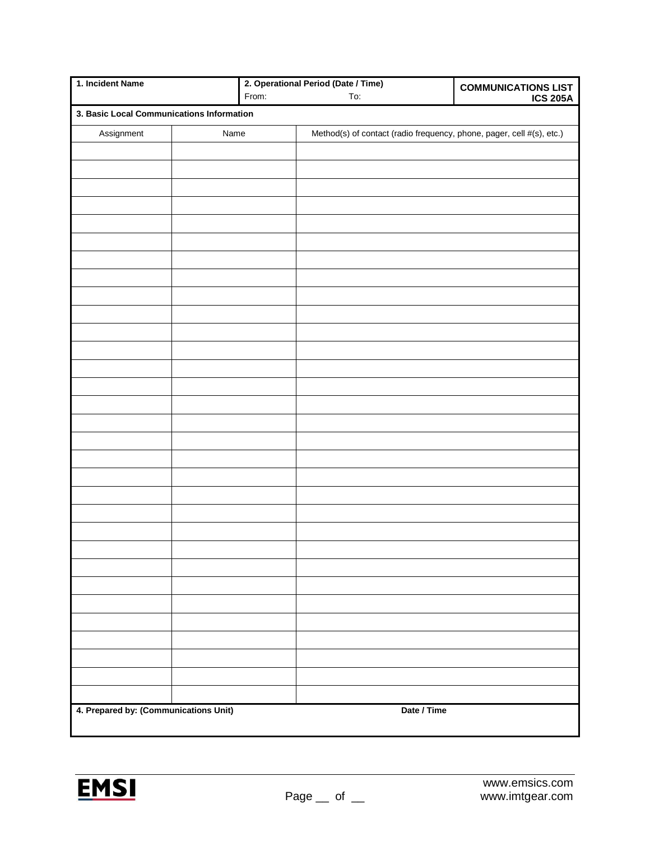| 1. Incident Name                          |      | 2. Operational Period (Date / Time) |                                                                       | <b>COMMUNICATIONS LIST</b> |
|-------------------------------------------|------|-------------------------------------|-----------------------------------------------------------------------|----------------------------|
|                                           |      | From:                               | To:                                                                   | <b>ICS 205A</b>            |
| 3. Basic Local Communications Information |      |                                     |                                                                       |                            |
| Assignment                                | Name |                                     | Method(s) of contact (radio frequency, phone, pager, cell #(s), etc.) |                            |
|                                           |      |                                     |                                                                       |                            |
|                                           |      |                                     |                                                                       |                            |
|                                           |      |                                     |                                                                       |                            |
|                                           |      |                                     |                                                                       |                            |
|                                           |      |                                     |                                                                       |                            |
|                                           |      |                                     |                                                                       |                            |
|                                           |      |                                     |                                                                       |                            |
|                                           |      |                                     |                                                                       |                            |
|                                           |      |                                     |                                                                       |                            |
|                                           |      |                                     |                                                                       |                            |
|                                           |      |                                     |                                                                       |                            |
|                                           |      |                                     |                                                                       |                            |
|                                           |      |                                     |                                                                       |                            |
|                                           |      |                                     |                                                                       |                            |
|                                           |      |                                     |                                                                       |                            |
|                                           |      |                                     |                                                                       |                            |
|                                           |      |                                     |                                                                       |                            |
|                                           |      |                                     |                                                                       |                            |
|                                           |      |                                     |                                                                       |                            |
|                                           |      |                                     |                                                                       |                            |
|                                           |      |                                     |                                                                       |                            |
|                                           |      |                                     |                                                                       |                            |
|                                           |      |                                     |                                                                       |                            |
|                                           |      |                                     |                                                                       |                            |
|                                           |      |                                     |                                                                       |                            |
|                                           |      |                                     |                                                                       |                            |
|                                           |      |                                     |                                                                       |                            |
|                                           |      |                                     |                                                                       |                            |
|                                           |      |                                     |                                                                       |                            |
|                                           |      |                                     |                                                                       |                            |
|                                           |      |                                     |                                                                       |                            |
| 4. Prepared by: (Communications Unit)     |      |                                     | Date / Time                                                           |                            |